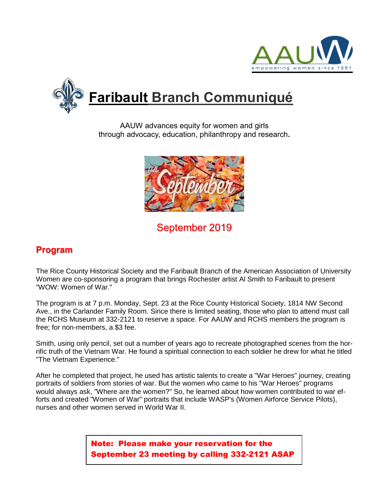



AAUW advances equity for women and girls through advocacy, education, philanthropy and research**.**



# September 2019

### **Program**

The Rice County Historical Society and the Faribault Branch of the American Association of University Women are co-sponsoring a program that brings Rochester artist Al Smith to Faribault to present "WOW: Women of War."

The program is at 7 p.m. Monday, Sept. 23 at the Rice County Historical Society, 1814 NW Second Ave., in the Carlander Family Room. Since there is limited seating, those who plan to attend must call the RCHS Museum at 332-2121 to reserve a space. For AAUW and RCHS members the program is free; for non-members, a \$3 fee.

Smith, using only pencil, set out a number of years ago to recreate photographed scenes from the horrific truth of the Vietnam War. He found a spiritual connection to each soldier he drew for what he titled "The Vietnam Experience."

After he completed that project, he used has artistic talents to create a "War Heroes" journey, creating portraits of soldiers from stories of war. But the women who came to his "War Heroes" programs would always ask, "Where are the women?" So, he learned about how women contributed to war efforts and created "Women of War" portraits that include WASP's (Women Airforce Service Pilots), nurses and other women served in World War II.

> Note: Please make your reservation for the September 23 meeting by calling 332-2121 ASAP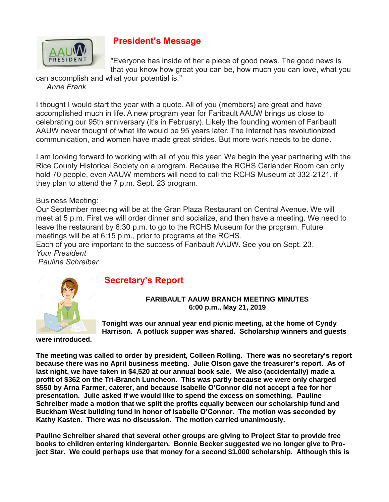

### **President's Message**

"Everyone has inside of her a piece of good news. The good news is that you know how great you can be, how much you can love, what you

can accomplish and what your potential is." *Anne Frank*

I thought I would start the year with a quote. All of you (members) are great and have accomplished much in life. A new program year for Faribault AAUW brings us close to celebrating our 95th anniversary (it's in February). Likely the founding women of Faribault AAUW never thought of what life would be 95 years later. The Internet has revolutionized communication, and women have made great strides. But more work needs to be done.

I am looking forward to working with all of you this year. We begin the year partnering with the Rice County Historical Society on a program. Because the RCHS Carlander Room can only hold 70 people, even AAUW members will need to call the RCHS Museum at 332-2121, if they plan to attend the 7 p.m. Sept. 23 program.

### Business Meeting:

Our September meeting will be at the Gran Plaza Restaurant on Central Avenue. We will meet at 5 p.m. First we will order dinner and socialize, and then have a meeting. We need to leave the restaurant by 6:30 p.m. to go to the RCHS Museum for the program. Future meetings will be at 6:15 p.m., prior to programs at the RCHS.

Each of you are important to the success of Faribault AAUW. See you on Sept. 23, *Your President*

*Pauline Schreiber*



#### **FARIBAULT AAUW BRANCH MEETING MINUTES 6:00 p.m., May 21, 2019**

**were introduced.** 

**Tonight was our annual year end picnic meeting, at the home of Cyndy Harrison. A potluck supper was shared. Scholarship winners and guests** 

**The meeting was called to order by president, Colleen Rolling. There was no secretary's report because there was no April business meeting. Julie Olson gave the treasurer's report. As of last night, we have taken in \$4,520 at our annual book sale. We also (accidentally) made a profit of \$362 on the Tri-Branch Luncheon. This was partly because we were only charged \$550 by Arna Farmer, caterer, and because Isabelle O'Connor did not accept a fee for her presentation. Julie asked if we would like to spend the excess on something. Pauline Schreiber made a motion that we split the profits equally between our scholarship fund and Buckham West building fund in honor of Isabelle O'Connor. The motion was seconded by Kathy Kasten. There was no discussion. The motion carried unanimously.**

**Pauline Schreiber shared that several other groups are giving to Project Star to provide free books to children entering kindergarten. Bonnie Becker suggested we no longer give to Project Star. We could perhaps use that money for a second \$1,000 scholarship. Although this is**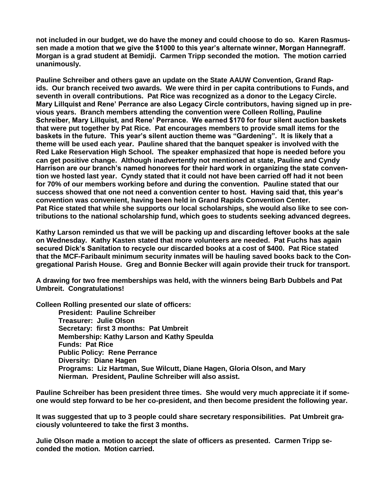**not included in our budget, we do have the money and could choose to do so. Karen Rasmussen made a motion that we give the \$1000 to this year's alternate winner, Morgan Hannegraff. Morgan is a grad student at Bemidji. Carmen Tripp seconded the motion. The motion carried unanimously.**

**Pauline Schreiber and others gave an update on the State AAUW Convention, Grand Rapids. Our branch received two awards. We were third in per capita contributions to Funds, and seventh in overall contributions. Pat Rice was recognized as a donor to the Legacy Circle. Mary Lillquist and Rene' Perrance are also Legacy Circle contributors, having signed up in previous years. Branch members attending the convention were Colleen Rolling, Pauline Schreiber, Mary Lillquist, and Rene' Perrance. We earned \$170 for four silent auction baskets that were put together by Pat Rice. Pat encourages members to provide small items for the baskets in the future. This year's silent auction theme was "Gardening". It is likely that a theme will be used each year. Pauline shared that the banquet speaker is involved with the Red Lake Reservation High School. The speaker emphasized that hope is needed before you can get positive change. Although inadvertently not mentioned at state, Pauline and Cyndy Harrison are our branch's named honorees for their hard work in organizing the state convention we hosted last year. Cyndy stated that it could not have been carried off had it not been for 70% of our members working before and during the convention. Pauline stated that our success showed that one not need a convention center to host. Having said that, this year's convention was convenient, having been held in Grand Rapids Convention Center. Pat Rice stated that while she supports our local scholarships, she would also like to see contributions to the national scholarship fund, which goes to students seeking advanced degrees.**

**Kathy Larson reminded us that we will be packing up and discarding leftover books at the sale on Wednesday. Kathy Kasten stated that more volunteers are needed. Pat Fuchs has again secured Dick's Sanitation to recycle our discarded books at a cost of \$400. Pat Rice stated that the MCF-Faribault minimum security inmates will be hauling saved books back to the Congregational Parish House. Greg and Bonnie Becker will again provide their truck for transport.**

**A drawing for two free memberships was held, with the winners being Barb Dubbels and Pat Umbreit. Congratulations!**

**Colleen Rolling presented our slate of officers:**

**President: Pauline Schreiber Treasurer: Julie Olson Secretary: first 3 months: Pat Umbreit Membership: Kathy Larson and Kathy Speulda Funds: Pat Rice Public Policy: Rene Perrance Diversity: Diane Hagen Programs: Liz Hartman, Sue Wilcutt, Diane Hagen, Gloria Olson, and Mary Nierman. President, Pauline Schreiber will also assist.**

**Pauline Schreiber has been president three times. She would very much appreciate it if someone would step forward to be her co-president, and then become president the following year.**

**It was suggested that up to 3 people could share secretary responsibilities. Pat Umbreit graciously volunteered to take the first 3 months.**

**Julie Olson made a motion to accept the slate of officers as presented. Carmen Tripp seconded the motion. Motion carried.**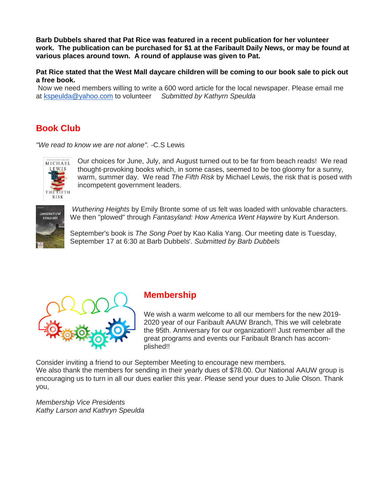**Barb Dubbels shared that Pat Rice was featured in a recent publication for her volunteer work. The publication can be purchased for \$1 at the Faribault Daily News, or may be found at various places around town. A round of applause was given to Pat.**

**Pat Rice stated that the West Mall daycare children will be coming to our book sale to pick out a free book.**

Now we need members willing to write a 600 word article for the local newspaper. Please email me at [kspeulda@yahoo.com](mailto:kspeulda@yahoo.com) to volunteer *Submitted by Kathyrn Speulda*

## **Book Club**

*"We read to know we are not alone". -*C.S Lewis



Our choices for June, July, and August turned out to be far from beach reads! We read thought-provoking books which, in some cases, seemed to be too gloomy for a sunny, warm, summer day. We read *The Fifth Risk* by Michael Lewis, the risk that is posed with incompetent government leaders.



*Wuthering Heights* by Emily Bronte some of us felt was loaded with unlovable characters. We then "plowed" through *Fantasyland: How America Went Haywire* by Kurt Anderson.

September's book is *The Song Poet* by Kao Kalia Yang. Our meeting date is Tuesday, September 17 at 6:30 at Barb Dubbels'. *Submitted by Barb Dubbels*



## **Membership**

We wish a warm welcome to all our members for the new 2019- 2020 year of our Faribault AAUW Branch, This we will celebrate the 95th. Anniversary for our organization!! Just remember all the great programs and events our Faribault Branch has accomplished!!

Consider inviting a friend to our September Meeting to encourage new members.

We also thank the members for sending in their yearly dues of \$78.00. Our National AAUW group is encouraging us to turn in all our dues earlier this year. Please send your dues to Julie Olson. Thank you,

*Membership Vice Presidents Kathy Larson and Kathryn Speulda*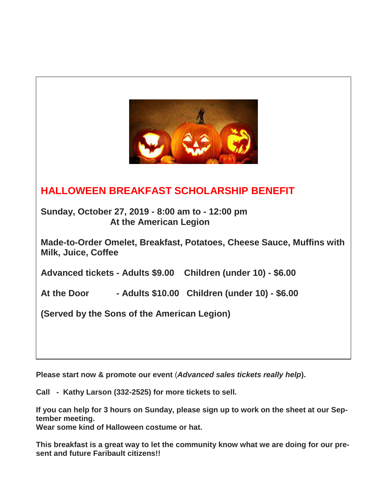

# **HALLOWEEN BREAKFAST SCHOLARSHIP BENEFIT**

**Sunday, October 27, 2019 - 8:00 am to - 12:00 pm At the American Legion**

**Made-to-Order Omelet, Breakfast, Potatoes, Cheese Sauce, Muffins with Milk, Juice, Coffee**

**Advanced tickets - Adults \$9.00 Children (under 10) - \$6.00**

**At the Door - Adults \$10.00 Children (under 10) - \$6.00**

**(Served by the Sons of the American Legion)**

**Please start now & promote our event** (*Advanced sales tickets really help***).**

**Call - Kathy Larson (332-2525) for more tickets to sell.**

**If you can help for 3 hours on Sunday, please sign up to work on the sheet at our September meeting.** 

**Wear some kind of Halloween costume or hat.** 

**This breakfast is a great way to let the community know what we are doing for our present and future Faribault citizens!!**